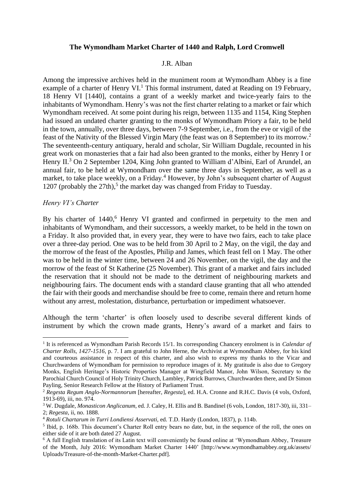# **The Wymondham Market Charter of 1440 and Ralph, Lord Cromwell**

#### J.R. Alban

Among the impressive archives held in the muniment room at Wymondham Abbey is a fine example of a charter of Henry VI.<sup>1</sup> This formal instrument, dated at Reading on 19 February, 18 Henry VI [1440], contains a grant of a weekly market and twice-yearly fairs to the inhabitants of Wymondham. Henry's was not the first charter relating to a market or fair which Wymondham received. At some point during his reign, between 1135 and 1154, King Stephen had issued an undated charter granting to the monks of Wymondham Priory a fair, to be held in the town, annually, over three days, between 7-9 September, i.e., from the eve or vigil of the feast of the Nativity of the Blessed Virgin Mary (the feast was on 8 September) to its morrow. 2 The seventeenth-century antiquary, herald and scholar, Sir William Dugdale, recounted in his great work on monasteries that a fair had also been granted to the monks, either by Henry I or Henry II.<sup>3</sup> On 2 September 1204, King John granted to William d'Albini, Earl of Arundel, an annual fair, to be held at Wymondham over the same three days in September, as well as a market, to take place weekly, on a Friday.<sup>4</sup> However, by John's subsequent charter of August 1207 (probably the 27th), 5 the market day was changed from Friday to Tuesday.

#### *Henry VI's Charter*

By his charter of 1440, <sup>6</sup> Henry VI granted and confirmed in perpetuity to the men and inhabitants of Wymondham, and their successors, a weekly market, to be held in the town on a Friday. It also provided that, in every year, they were to have two fairs, each to take place over a three-day period. One was to be held from 30 April to 2 May, on the vigil, the day and the morrow of the feast of the Apostles, Philip and James, which feast fell on 1 May. The other was to be held in the winter time, between 24 and 26 November, on the vigil, the day and the morrow of the feast of St Katherine (25 November). This grant of a market and fairs included the reservation that it should not be made to the detriment of neighbouring markets and neighbouring fairs. The document ends with a standard clause granting that all who attended the fair with their goods and merchandise should be free to come, remain there and return home without any arrest, molestation, disturbance, perturbation or impediment whatsoever.

Although the term 'charter' is often loosely used to describe several different kinds of instrument by which the crown made grants, Henry's award of a market and fairs to

<sup>&</sup>lt;sup>1</sup> It is referenced as Wymondham Parish Records 15/1. Its corresponding Chancery enrolment is in *Calendar of Charter Rolls, 1427-1516,* p. 7. I am grateful to John Herne, the Archivist at Wymondham Abbey, for his kind and courteous assistance in respect of this charter, and also wish to express my thanks to the Vicar and Churchwardens of Wymondham for permission to reproduce images of it. My gratitude is also due to Gregory Monks, English Heritage's Historic Properties Manager at Wingfield Manor, John Wilson, Secretary to the Parochial Church Council of Holy Trinity Church, Lambley, Patrick Burrows, Churchwarden there, and Dr Simon Payling, Senior Research Fellow at the History of Parliament Trust.

<sup>2</sup> *Regesta Regum Anglo-Normannorum* [hereafter, *Regesta*], ed. H.A. Cronne and R.H.C. Davis (4 vols, Oxford, 1913-69), iii, no. 974.

<sup>3</sup> W. Dugdale, *Monasticon Anglicanum,* ed. J. Caley, H. Ellis and B. Bandinel (6 vols, London, 1817-30), iii, 331– 2; *Regesta*, ii, no. 1888.

<sup>4</sup> *Rotuli Chartarum in Turri Londiensi Asservati,* ed. T.D. Hardy (London, 1837), p. 114b.

<sup>&</sup>lt;sup>5</sup> Ibid, p. 168b. This document's Charter Roll entry bears no date, but, in the sequence of the roll, the ones on either side of it are both dated 27 August.

<sup>6</sup> A full English translation of its Latin text will conveniently be found online at 'Wymondham Abbey, Treasure of the Month, July 2016: Wymondham Market Charter 1440' [http://www.wymondhamabbey.org.uk/assets/ Uploads/Treasure-of-the-month-Market-Charter.pdf].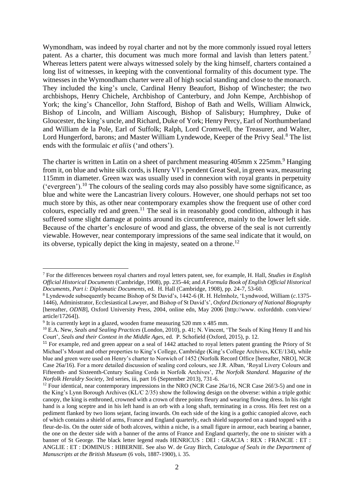Wymondham, was indeed by royal charter and not by the more commonly issued royal letters patent. As a charter, this document was much more formal and lavish than letters patent.<sup>7</sup> Whereas letters patent were always witnessed solely by the king himself, charters contained a long list of witnesses, in keeping with the conventional formality of this document type. The witnesses in the Wymondham charter were all of high social standing and close to the monarch. They included the king's uncle, Cardinal Henry Beaufort, Bishop of Winchester; the two archbishops, Henry Chichele, Archbishop of Canterbury, and John Kempe, Archbishop of York; the king's Chancellor, John Stafford, Bishop of Bath and Wells, William Alnwick, Bishop of Lincoln, and William Aiscough, Bishop of Salisbury; Humphrey, Duke of Gloucester, the king's uncle, and Richard, Duke of York; Henry Percy, Earl of Northumberland and William de la Pole, Earl of Suffolk; Ralph, Lord Cromwell, the Treasurer, and Walter, Lord Hungerford, barons; and Master William Lyndewode, Keeper of the Privy Seal.<sup>8</sup> The list ends with the formulaic *et aliis* ('and others').

The charter is written in Latin on a sheet of parchment measuring 405mm x 225mm.<sup>9</sup> Hanging from it, on blue and white silk cords, is Henry VI's pendent Great Seal, in green wax, measuring 115mm in diameter. Green wax was usually used in connexion with royal grants in perpetuity ('evergreen').<sup>10</sup> The colours of the sealing cords may also possibly have some significance, as blue and white were the Lancastrian livery colours. However, one should perhaps not set too much store by this, as other near contemporary examples show the frequent use of other cord colours, especially red and green. <sup>11</sup> The seal is in reasonably good condition, although it has suffered some slight damage at points around its circumference, mainly to the lower left side. Because of the charter's enclosure of wood and glass, the obverse of the seal is not currently viewable. However, near contemporary impressions of the same seal indicate that it would, on its obverse, typically depict the king in majesty, seated on a throne.<sup>12</sup>

<sup>7</sup> For the differences between royal charters and royal letters patent, see, for example, H. Hall, *Studies in English Official Historical Documents* (Cambridge, 1908), pp. 235-44; and *A Formula Book of English Official Historical Documents, Part i: Diplomatic Documents*, ed. H. Hall (Cambridge, 1908), pp. 24-7, 53-60.

<sup>8</sup> Lyndewode subsequently became Bishop of St David's, 1442-6 (R. H. Helmholz, 'Lyndwood, William (*c.*1375- 1446), Administrator, Ecclesiastical Lawyer, and Bishop of St David's', *Oxford Dictionary of National Biography* [hereafter, *ODNB*], Oxford University Press, 2004, online edn, May 2006 [http://www. oxforddnb. com/view/ article/17264]).

<sup>&</sup>lt;sup>9</sup> It is currently kept in a glazed, wooden frame measuring 520 mm x 485 mm.

<sup>&</sup>lt;sup>10</sup> E.A. New, *Seals and Sealing Practices* (London, 2010), p. 41; N. Vincent, 'The Seals of King Henry II and his Court', *Seals and their Context in the Middle Ages,* ed. P. Schofield (Oxford, 2015), p. 12.

<sup>&</sup>lt;sup>11</sup> For example, red and green appear on a seal of 1442 attached to royal letters patent granting the Priory of St Michael's Mount and other properties to King's College, Cambridge (King's College Archives, KCE/134), while blue and green were used on Henry's charter to Norwich of 1452 (Norfolk Record Office [hereafter, NRO], NCR Case 26a/16). For a more detailed discussion of sealing cord colours, see J.R. Alban, 'Royal Livery Colours and Fifteenth- and Sixteenth-Century Sealing Cords in Norfolk Archives', *The Norfolk Standard. Magazine of the Norfolk Heraldry Society,* 3rd series, iii, part 16 (September 2013), 731-6.

<sup>&</sup>lt;sup>12</sup> Four identical, near contemporary impressions in the NRO (NCR Case 26 $a/16$ , NCR Case 26 $f/3-5$ ) and one in the King's Lynn Borough Archives (KL/C 2/35) show the following design on the obverse: within a triple gothic canopy, the king is enthroned, crowned with a crown of three points fleury and wearing flowing dress. In his right hand is a long sceptre and in his left hand is an orb with a long shaft, terminating in a cross. His feet rest on a pediment flanked by two lions sejant, facing inwards. On each side of the king is a gothic canopied alcove, each of which contains a shield of arms, France and England quarterly, each shield supported on a stand topped with a fleur-de-lis. On the outer side of both alcoves, within a niche, is a small figure in armour, each bearing a banner, the one on the dexter side with a banner of the arms of France and England quarterly, the one to sinister with a banner of St George. The black letter legend reads HENRICUS : DEI : GRACIA : REX : FRANCIE : ET : ANGLIE : ET : DOMINUS : HIBERNIE. See also W. de Gray Birch, *Catalogue of Seals in the Department of Manuscripts at the British Museum* (6 vols, 1887-1900), i. 35.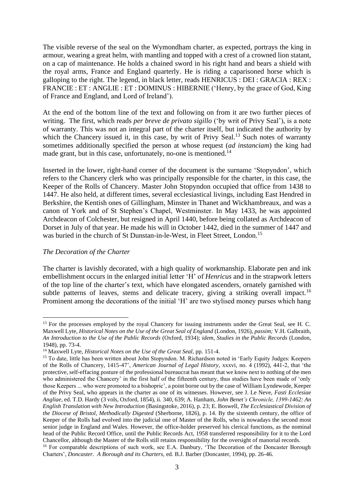The visible reverse of the seal on the Wymondham charter, as expected, portrays the king in armour, wearing a great helm, with mantling and topped with a crest of a crowned lion statant, on a cap of maintenance. He holds a chained sword in his right hand and bears a shield with the royal arms, France and England quarterly. He is riding a caparisoned horse which is galloping to the right. The legend, in black letter, reads HENRICUS : DEI : GRACIA : REX : FRANCIE : ET : ANGLIE : ET : DOMINUS : HIBERNIE ('Henry, by the grace of God, King of France and England, and Lord of Ireland').

At the end of the bottom line of the text and following on from it are two further pieces of writing. The first, which reads *per breve de privato sigillo* ('by writ of Privy Seal'), is a note of warranty. This was not an integral part of the charter itself, but indicated the authority by which the Chancery issued it, in this case, by writ of Privy Seal.<sup>13</sup> Such notes of warranty sometimes additionally specified the person at whose request (*ad instanciam*) the king had made grant, but in this case, unfortunately, no-one is mentioned.<sup>14</sup>

Inserted in the lower, right-hand corner of the document is the surname 'Stopyndon', which refers to the Chancery clerk who was principally responsible for the charter, in this case, the Keeper of the Rolls of Chancery. Master John Stopyndon occupied that office from 1438 to 1447. He also held, at different times, several ecclesiastical livings, including East Hendred in Berkshire, the Kentish ones of Gillingham, Minster in Thanet and Wickhambreaux, and was a canon of York and of St Stephen's Chapel, Westminster. In May 1433, he was appointed Archdeacon of Colchester, but resigned in April 1440, before being collated as Archdeacon of Dorset in July of that year. He made his will in October 1442, died in the summer of 1447 and was buried in the church of St Dunstan-in-le-West, in Fleet Street, London. 15

# *The Decoration of the Charter*

The charter is lavishly decorated, with a high quality of workmanship. Elaborate pen and ink embellishment occurs in the enlarged initial letter 'H' of *Henricus* and in the strapwork letters of the top line of the charter's text, which have elongated ascenders, ornately garnished with subtle patterns of leaves, stems and delicate tracery, giving a striking overall impact.<sup>16</sup> Prominent among the decorations of the initial 'H' are two stylised money purses which hang

<sup>&</sup>lt;sup>13</sup> For the processes employed by the royal Chancery for issuing instruments under the Great Seal, see H. C. Maxwell Lyte, *Historical Notes on the Use of the Great Seal of England* (London, 1926), *passim;* V.H. Galbraith, *An Introduction to the Use of the Public Records* (Oxford, 1934); *idem*, *Studies in the Public Records* (London, 1948), pp. 73-4.

<sup>14</sup> Maxwell Lyte, *Historical Notes on the Use of the Great Seal*, pp. 151-4.

<sup>&</sup>lt;sup>15</sup> To date, little has been written about John Stopyndon. M. Richardson noted in 'Early Equity Judges: Keepers of the Rolls of Chancery, 1415-47', *American Journal of Legal History*, xxxvi, no. 4 (1992), 441-2, that 'the protective, self-effacing posture of the professional bureaucrat has meant that we know next to nothing of the men who administered the Chancery' in the first half of the fifteenth century, thus studies have been made of 'only those Keepers ... who were promoted to a bishopric', a point borne out by the case of William Lyndewode, Keeper of the Privy Seal, who appears in the charter as one of its witnesses. However, see J. Le Neve, *Fasti Ecclesiae Angliae,* ed. T.D. Hardy (3 vols, Oxford, 1854), ii. 340, 639; A. Hanham, *John Benet's Chronicle, 1399-1462: An English Translation with New Introduction* (Basingstoke, 2016), p. 23; E. Boswell, *The Ecclesiastical Division of the Diocese of Bristol, Methodically Digested* (Sherborne, 1826), p. 14. By the sixteenth century, the office of Keeper of the Rolls had evolved into the judicial one of Master of the Rolls, who is nowadays the second most senior judge in England and Wales. However, the office-holder preserved his clerical functions, as the nominal head of the Public Record Office, until the Public Records Act, 1958 transferred responsibility for it to the Lord Chancellor, although the Master of the Rolls still retains responsibility for the oversight of manorial records.

<sup>&</sup>lt;sup>16</sup> For comparable descriptions of such work, see E.A. Danbury, 'The Decoration of the Doncaster Borough Charters', *Doncaster. A Borough and its Charters,* ed. B.J. Barber (Doncaster, 1994), pp. 26-46.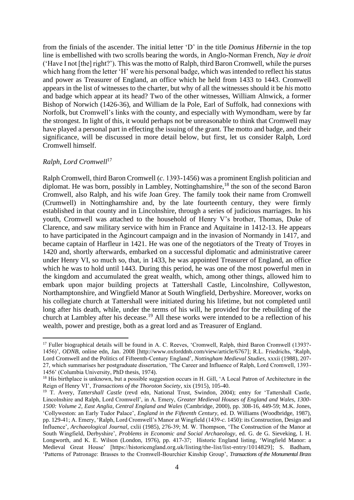from the finials of the ascender. The initial letter 'D' in the title *Dominus Hibernie* in the top line is embellished with two scrolls bearing the words, in Anglo-Norman French, *Nay ie droit* ('Have I not [the] right?'). This was the motto of Ralph, third Baron Cromwell, while the purses which hang from the letter 'H' were his personal badge, which was intended to reflect his status and power as Treasurer of England, an office which he held from 1433 to 1443. Cromwell appears in the list of witnesses to the charter, but why of all the witnesses should it be *his* motto and badge which appear at its head? Two of the other witnesses, William Alnwick, a former Bishop of Norwich (1426-36), and William de la Pole, Earl of Suffolk, had connexions with Norfolk, but Cromwell's links with the county, and especially with Wymondham, were by far the strongest. In light of this, it would perhaps not be unreasonable to think that Cromwell may have played a personal part in effecting the issuing of the grant. The motto and badge, and their significance, will be discussed in more detail below, but first, let us consider Ralph, Lord Cromwell himself.

# *Ralph, Lord Cromwell*<sup>17</sup>

Ralph Cromwell, third Baron Cromwell (*c*. 1393-1456) was a prominent English politician and diplomat. He was born, possibly in Lambley, Nottinghamshire,<sup>18</sup> the son of the second Baron Cromwell, also Ralph, and his wife Joan Grey. The family took their name from Cromwell (Crumwell) in Nottinghamshire and, by the late fourteenth century, they were firmly established in that county and in Lincolnshire, through a series of judicious marriages. In his youth, Cromwell was attached to the household of Henry V's brother, Thomas, Duke of Clarence, and saw military service with him in France and Aquitaine in 1412-13. He appears to have participated in the Agincourt campaign and in the invasion of Normandy in 1417, and became captain of Harfleur in 1421. He was one of the negotiators of the Treaty of Troyes in 1420 and, shortly afterwards, embarked on a successful diplomatic and administrative career under Henry VI, so much so, that, in 1433, he was appointed Treasurer of England, an office which he was to hold until 1443. During this period, he was one of the most powerful men in the kingdom and accumulated the great wealth, which, among other things, allowed him to embark upon major building projects at Tattershall Castle, Lincolnshire, Collyweston, Northamptonshire, and Wingfield Manor at South Wingfield, Derbyshire. Moreover, works on his collegiate church at Tattershall were initiated during his lifetime, but not completed until long after his death, while, under the terms of his will, he provided for the rebuilding of the church at Lambley after his decease. <sup>19</sup> All these works were intended to be a reflection of his wealth, power and prestige, both as a great lord and as Treasurer of England.

<sup>&</sup>lt;sup>17</sup> Fuller biographical details will be found in A. C. Reeves, 'Cromwell, Ralph, third Baron Cromwell (1393?-1456)', *ODNB*, online edn, Jan. 2008 [http://www.oxforddnb.com/view/article/6767]; R.L. Friedrichs, 'Ralph, Lord Cromwell and the Politics of Fifteenth-Century England', *Nottingham Medieval Studies,* xxxii (1988), 207- 27, which summarises her postgraduate dissertation, 'The Career and Influence of Ralph, Lord Cromwell, 1393- 1456' (Columbia University, PhD thesis, 1974).

<sup>&</sup>lt;sup>18</sup> His birthplace is unknown, but a possible suggestion occurs in H. Gill, 'A Local Patron of Architecture in the Reign of Henry VI', *Transactions of the Thoroton Society*, xix (1915), 105-40.

<sup>&</sup>lt;sup>19</sup> T. Avery, *Tattershall Castle* (revd edn, National Trust, Swindon, 2004); entry for 'Tattershall Castle, Lincolnshire and Ralph, Lord Cromwell', in A. Emery, *Greater Medieval Houses of England and Wales, 1300- 1500: Volume 2, East Anglia, Central England and Wales* (Cambridge, 2000), pp. 308-16, 449-59; M.K. Jones, 'Collyweston: an Early Tudor Palace', *England in the Fifteenth Century,* ed. D. Williams (Woodbridge, 1987), pp. 129-41; A. Emery, 'Ralph, Lord Cromwell's Manor at Wingfield (1439-*c.* 1450): its Construction, Design and Influence', *Archaeological Journal,* cxlii (1985), 276-39; M. W. Thompson, 'The Construction of the Manor at South Wingfield, Derbyshire', *Problems in Economic and Social Archaeology*, ed. G. de G. Sieveking, I. H. Longworth, and K. E. Wilson (London, 1976), pp. 417-37; Historic England listing, 'Wingfield Manor: a Medieval Great House' [https://historicengland.org.uk/listing/the-list/list-entry/1014829]; S. Badham, 'Patterns of Patronage: Brasses to the Cromwell-Bourchier Kinship Group', *Transactions of the Monumental Brass*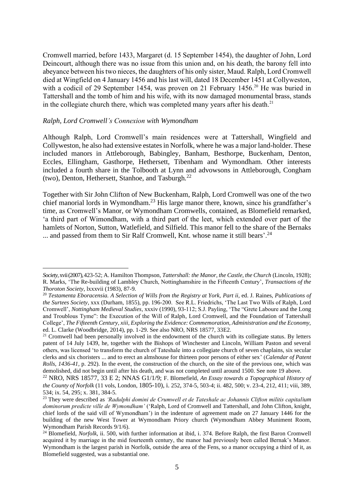Cromwell married, before 1433, Margaret (d. 15 September 1454), the daughter of John, Lord Deincourt, although there was no issue from this union and, on his death, the barony fell into abeyance between his two nieces, the daughters of his only sister, Maud. Ralph, Lord Cromwell died at Wingfield on 4 January 1456 and his last will, dated 18 December 1451 at Collyweston, with a codicil of 29 September 1454, was proven on 21 February 1456.<sup>20</sup> He was buried in Tattershall and the tomb of him and his wife, with its now damaged monumental brass, stands in the collegiate church there, which was completed many years after his death. $^{21}$ 

#### *Ralph, Lord Cromwell's Connexion with Wymondham*

Although Ralph, Lord Cromwell's main residences were at Tattershall, Wingfield and Collyweston, he also had extensive estates in Norfolk, where he was a major land-holder. These included manors in Attleborough, Babingley, Banham, Besthorpe, Buckenham, Denton, Eccles, Ellingham, Gasthorpe, Hethersett, Tibenham and Wymondham. Other interests included a fourth share in the Tolbooth at Lynn and advowsons in Attleborough, Congham (two), Denton, Hethersett, Stanhoe, and Tasburgh*.* 22

Together with Sir John Clifton of New Buckenham, Ralph, Lord Cromwell was one of the two chief manorial lords in Wymondham. <sup>23</sup> His large manor there, known, since his grandfather's time, as Cromwell's Manor, or Wymondham Cromwells, contained, as Blomefield remarked, 'a third part of Wimondham, with a third part of the leet, which extended over part of the hamlets of Norton, Sutton, Watlefield, and Silfield. This manor fell to the share of the Bernaks ... and passed from them to Sir Ralf Cromwell, Knt. whose name it still bears'.<sup>24</sup>

*Society,* xvii (2007), 423-52; A. Hamilton Thompson, *Tattershall: the Manor, the Castle, the Church* (Lincoln, 1928); R. Marks, 'The Re-building of Lambley Church, Nottinghamshire in the Fifteenth Century', *Transactions of the Thoroton Society*, lxxxvii (1983), 87-9.

<sup>&</sup>lt;sup>20</sup> Testamenta Eboracensia. A Selection of Wills from the Registry at York, Part ii, ed. J. Raines, Publications of *the Surtees Society*, xxx (Durham, 1855), pp. 196-200. See R.L. Friedrichs, 'The Last Two Wills of Ralph, Lord Cromwell', *Nottingham Medieval Studies*, xxxiv (1990), 93-112; S.J. Payling, 'The "Grete Laboure and the Long and Troublous Tyme": the Execution of the Will of Ralph, Lord Cromwell, and the Foundation of Tattershall College', *The Fifteenth Century, xiii, Exploring the Evidence: Commemoration, Administration and the Economy,*  ed. L. Clarke (Woodbridge, 2014), pp. 1-29. See also NRO, NRS 18577, 33E2.

 $21$  Cromwell had been personally involved in the endowment of the church with its collegiate status. By letters patent of 14 July 1439, he, together with the Bishops of Winchester and Lincoln, William Paston and several others, was licensed 'to transform the church of Tateshale into a collegiate church of seven chaplains, six secular clerks and six choristers ... and to erect an almshouse for thirteen poor persons of either sex' (*Calendar of Patent Rolls, 1436-41,* p. 292). In the event, the construction of the church, on the site of the previous one, which was demolished, did not begin until after his death, and was not completed until around 1500. See note 19 above.

<sup>22</sup> NRO, NRS 18577, 33 E 2; NNAS G1/1/9; F. Blomefield, *An Essay towards a Topographical History of the County of Norfolk* (11 vols, London, 1805-10), i. 252, 374-5, 503-4; ii. 482, 500; v. 23-4, 212, 411; viii, 389, 534; ix. 54, 295; x. 381, 384-5.

<sup>23</sup> They were described as *'Radulphi domini de Crumwell et de Tateshale ac Johannis Clifton militis capitalium dominorum predicte ville de Wymondham'* ('Ralph, Lord of Cromwell and Tattershall, and John Clifton, knight, chief lords of the said vill of Wymondham') in the indenture of agreement made on 27 January 1446 for the building of the new West Tower at Wymondham Priory church (Wymondham Abbey Muniment Room, Wymondham Parish Records 9/1/6).

<sup>&</sup>lt;sup>24</sup> Blomefield, *Norfolk*, ii. 500, with further information at ibid, i. 374. Before Ralph, the first Baron Cromwell acquired it by marriage in the mid fourteenth century, the manor had previously been called Bernak's Manor. Wymondham is the largest parish in Norfolk, outside the area of the Fens, so a manor occupying a third of it, as Blomefield suggested, was a substantial one.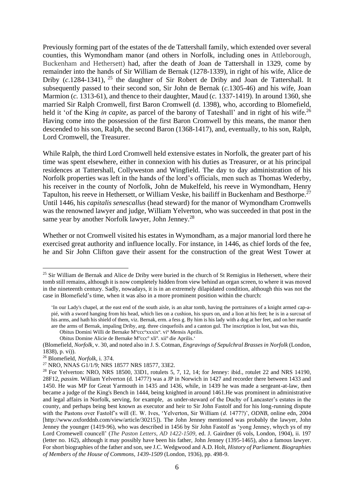Previously forming part of the estates of the de Tattershall family, which extended over several counties, this Wymondham manor (and others in Norfolk, including ones in Attleborough, Buckenham and Hethersett) had, after the death of Joan de Tattershall in 1329, come by remainder into the hands of Sir William de Bernak (1278-1339), in right of his wife, Alice de Driby (*c*.1284-1341), <sup>25</sup> the daughter of Sir Robert de Driby and Joan de Tattershall. It subsequently passed to their second son, Sir John de Bernak (*c.*1305-46) and his wife, Joan Marmion (*c.* 1313-61), and thence to their daughter, Maud (*c.* 1337-1419). In around 1360, she married Sir Ralph Cromwell, first Baron Cromwell (d. 1398), who, according to Blomefield, held it 'of the King *in capite*, as parcel of the barony of Tateshall' and in right of his wife.<sup>26</sup> Having come into the possession of the first Baron Cromwell by this means, the manor then descended to his son, Ralph, the second Baron (1368-1417), and, eventually, to his son, Ralph, Lord Cromwell, the Treasurer.

While Ralph, the third Lord Cromwell held extensive estates in Norfolk, the greater part of his time was spent elsewhere, either in connexion with his duties as Treasurer, or at his principal residences at Tattershall, Collyweston and Wingfield. The day to day administration of his Norfolk properties was left in the hands of the lord's officials, men such as Thomas Wederby, his receiver in the county of Norfolk, John de Mukelfeld, his reeve in Wymondham, Henry Tapulton, his reeve in Hethersett, or William Veske, his bailiff in Buckenham and Besthorpe.<sup>27</sup> Until 1446, his *capitalis senescallus* (head steward) for the manor of Wymondham Cromwells was the renowned lawyer and judge, William Yelverton, who was succeeded in that post in the same year by another Norfolk lawyer, John Jenney.<sup>28</sup>

Whether or not Cromwell visited his estates in Wymondham, as a major manorial lord there he exercised great authority and influence locally. For instance, in 1446, as chief lords of the fee, he and Sir John Clifton gave their assent for the construction of the great West Tower at

<sup>&</sup>lt;sup>25</sup> Sir William de Bernak and Alice de Driby were buried in the church of St Remigius in Hethersett, where their tomb still remains, although it is now completely hidden from view behind an organ screen, to where it was moved in the nineteenth century. Sadly, nowadays, it is in an extremely dilapidated condition, although this was not the case in Blomefield's time, when it was also in a more prominent position within the church:

<sup>&#</sup>x27;In our Lady's chapel, at the east end of the south aisle, is an altar tomb, having the portraitures of a knight armed cap-apié, with a sword hanging from his head, which lies on a cushion, his spurs on, and a lion at his feet; he is in a surcoat of his arms, and hath his shield of them, viz. Bernak, erm. a fess g. By him is his lady with a dog at her feet, and on her mantle are the arms of Bernak, impaling Driby, arg. three cinquefoils and a canton gul. The inscription is lost, but was this,

Obitus Domini Willi de Bernake M<sup>o</sup>ccc<sup>o</sup>xxxix<sup>o</sup>. vi<sup>o</sup> Mensis Aprilis.

Obitus Domine Alicie de Bernake M°ccc° xli°. xii° die Aprilis.'

<sup>(</sup>Blomefield, *Norfolk,* v. 30, and noted also in J. S. Cotman, *Engravings of Sepulchral Brasses in Norfolk* (London, 1838), p. vi)).

<sup>26</sup> Blomefield, *Norfolk,* i. 374.

<sup>27</sup> NRO, NNAS G1/1/9; NRS 18577 NRS 18577, 33E2.

 $28$  For Yelverton: NRO, NRS 18500, 33D1, rotulets 5, 7, 12, 14; for Jenney: ibid., rotulet 22 and NRS 14190, 28F12, *passim*. William Yelverton (d. 1477?) was a JP in Norwich in 1427 and recorder there between 1433 and 1450. He was MP for Great Yarmouth in 1435 and 1436, while, in 1439 he was made a sergeant-at-law, then became a judge of the King's Bench in 1444, being knighted in around 1461.He was prominent in administrative and legal affairs in Norfolk, serving, for example, as under-steward of the Duchy of Lancaster's estates in the county, and perhaps being best known as executor and heir to Sir John Fastolf and for his long-running dispute with the Pastons over Fastolf's will (E. W. Ives, 'Yelverton, Sir William (*d.* 1477?)', *ODNB*, online edn, 2004 [http://www.oxforddnb.com/view/article/30215]). The John Jenney mentioned was probably the lawyer, John Jenney the younger (1419-96), who was described in 1456 by Sir John Fastolf as 'yong Jenney, whych ys of my Lord Cromewell councell' (*The Paston Letters, AD 1422-1509,* ed. J. Gairdner (6 vols, London, 1904), ii. 197 (letter no. 162), although it may possibly have been his father, John Jenney (1395-1465), also a famous lawyer. For short biographies of the father and son, see J.C. Wedgwood and A.D. Holt, *History of Parliament. Biographies of Members of the House of Commons, 1439-1509* (London, 1936), pp. 498-9.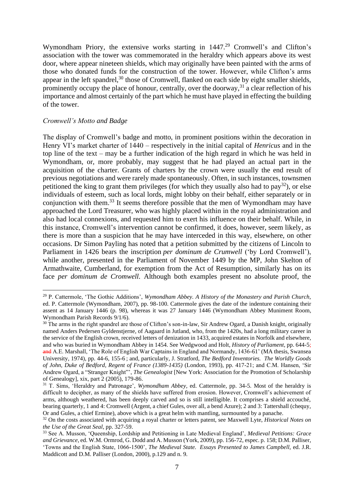Wymondham Priory, the extensive works starting in 1447.<sup>29</sup> Cromwell's and Clifton's association with the tower was commemorated in the heraldry which appears above its west door, where appear nineteen shields, which may originally have been painted with the arms of those who donated funds for the construction of the tower. However, while Clifton's arms appear in the left spandrel,<sup>30</sup> those of Cromwell, flanked on each side by eight smaller shields, prominently occupy the place of honour, centrally, over the doorway,<sup>31</sup> a clear reflection of his importance and almost certainly of the part which he must have played in effecting the building of the tower.

# *Cromwell's Motto and Badge*

The display of Cromwell's badge and motto, in prominent positions within the decoration in Henry VI's market charter of 1440 – respectively in the initial capital of *Henricus* and in the top line of the text – may be a further indication of the high regard in which he was held in Wymondham, or, more probably, may suggest that he had played an actual part in the acquisition of the charter. Grants of charters by the crown were usually the end result of previous negotiations and were rarely made spontaneously. Often, in such instances, townsmen petitioned the king to grant them privileges (for which they usually also had to pay<sup>32</sup>), or else individuals of esteem, such as local lords, might lobby on their behalf, either separately or in conjunction with them.<sup>33</sup> It seems therefore possible that the men of Wymondham may have approached the Lord Treasurer, who was highly placed within in the royal administration and also had local connexions, and requested him to exert his influence on their behalf. While, in this instance, Cromwell's intervention cannot be confirmed, it does, however, seem likely, as there is more than a suspicion that he may have interceded in this way, elsewhere, on other occasions. Dr Simon Payling has noted that a petition submitted by the citizens of Lincoln to Parliament in 1426 bears the inscription *per dominum de Crumwell* ('by Lord Cromwell'), while another, presented in the Parliament of November 1449 by the MP, John Skelton of Armathwaite, Cumberland, for exemption from the Act of Resumption, similarly has on its face *per dominum de Cromwell.* Although both examples present no absolute proof, the

<sup>29</sup> P. Cattermole, 'The Gothic Additions', *Wymondham Abbey. A History of the Monastery and Parish Church,*  ed. P. Cattermole (Wymondham, 2007), pp. 98-100. Cattermole gives the date of the indenture containing their assent as 14 January 1446 (p. 98), whereas it was 27 January 1446 (Wymondham Abbey Muniment Room, Wymondham Parish Records 9/1/6).

<sup>&</sup>lt;sup>30</sup> The arms in the right spandrel are those of Clifton's son-in-law, Sir Andrew Ogard, a Danish knight, originally named Anders Pedersen Gyldenstjerne, of Aagaard in Jutland, who, from the 1420s, had a long military career in the service of the English crown, received letters of denization in 1433, acquired estates in Norfolk and elsewhere, and who was buried in Wymondham Abbey in 1454. See Wedgwood and Holt, *History of Parliament,* pp. 644-5; and A.E. Marshall, 'The Role of English War Captains in England and Normandy, 1436-61' (MA thesis, Swansea University, 1974), pp. 44-6, 155-6 ; and, particularly, J. Stratford, *The Bedford Inventories. The Worldly Goods of John, Duke of Bedford, Regent of France (1389-1435)* (London, 1993), pp. 417-21; and C.M. Hansen, 'Sir Andrew Ogard, a "Stranger Knight"', *The Genealogist* [New York: Association for the Promotion of Scholarship of Genealogy]*,* xix, part 2 (2005), 179-86.

<sup>31</sup> T. Sims, 'Heraldry and Patronage', *Wymondham Abbey,* ed. Cattermole, pp. 34-5. Most of the heraldry is difficult to decipher, as many of the shields have suffered from erosion. However, Cromwell's achievement of arms, although weathered, has been deeply carved and so is still intelligible. It comprises a shield accouché, bearing quarterly, 1 and 4: Cromwell (Argent, a chief Gules, over all, a bend Azure); 2 and 3: Tattershall (chequy, Or and Gules, a chief Ermine), above which is a great helm with mantling, surmounted by a panache.

<sup>32</sup> On the costs associated with acquiring a royal charter or letters patent, see Maxwell Lyte, *Historical Notes on the Use of the Great Seal*, pp. 327-59.

<sup>33</sup> See A. Musson, 'Queenship, Lordship and Petitioning in Late Medieval England', *Medieval Petitions: Grace and Grievance*, ed[. W.M. Ormrod,](https://boydellandbrewer.com/catalogsearch/advanced/result/?meta_keyword=&name=&subtitle=&contributors=W.+Mark+Ormrod) [G. Dodd](https://boydellandbrewer.com/catalogsearch/advanced/result/?meta_keyword=&name=&subtitle=&contributors=Gwilym+Dodd) and A. Musson (York, 2009), pp. 156-72, espec. p. 158; D.M. Palliser, 'Towns and the English State, 1066-1500', *The Medieval State. Essays Presented to James Campbell,* ed. J.R. Maddicott and D.M. Palliser (London, 2000), p.129 and n. 9.